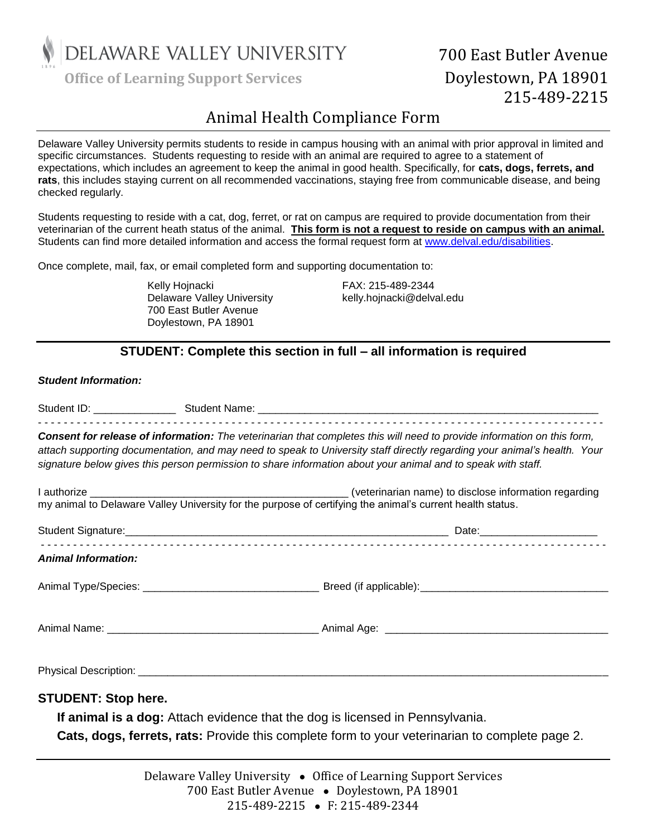

Office of Learning Support Services **Doylestown, PA 18901** 

# 700 East Butler Avenue 215-489-2215

## Animal Health Compliance Form

Delaware Valley University permits students to reside in campus housing with an animal with prior approval in limited and specific circumstances. Students requesting to reside with an animal are required to agree to a statement of expectations, which includes an agreement to keep the animal in good health. Specifically, for **cats, dogs, ferrets, and rats**, this includes staying current on all recommended vaccinations, staying free from communicable disease, and being checked regularly.

Students requesting to reside with a cat, dog, ferret, or rat on campus are required to provide documentation from their veterinarian of the current heath status of the animal. **This form is not a request to reside on campus with an animal.** Students can find more detailed information and access the formal request form at [www.delval.edu/disabilities.](http://www.delval.edu/disabilities)

Once complete, mail, fax, or email completed form and supporting documentation to:

Kelly Hojnacki FAX: 215-489-2344 Delaware Valley University **Example 20 Finalish Relly.hojnacki@delval.edu** 700 East Butler Avenue Doylestown, PA 18901

### **STUDENT: Complete this section in full – all information is required**

#### *Student Information:*

|                            | Consent for release of information: The veterinarian that completes this will need to provide information on this form,<br>attach supporting documentation, and may need to speak to University staff directly regarding your animal's health. Your<br>signature below gives this person permission to share information about your animal and to speak with staff. |
|----------------------------|---------------------------------------------------------------------------------------------------------------------------------------------------------------------------------------------------------------------------------------------------------------------------------------------------------------------------------------------------------------------|
|                            |                                                                                                                                                                                                                                                                                                                                                                     |
|                            |                                                                                                                                                                                                                                                                                                                                                                     |
| <b>Animal Information:</b> |                                                                                                                                                                                                                                                                                                                                                                     |
|                            |                                                                                                                                                                                                                                                                                                                                                                     |
|                            |                                                                                                                                                                                                                                                                                                                                                                     |
|                            |                                                                                                                                                                                                                                                                                                                                                                     |
| <b>STUDENT: Stop here.</b> | If animal is a dog: Attach evidence that the dog is licensed in Pennsylvania.<br>Cats, dogs, ferrets, rats: Provide this complete form to your veterinarian to complete page 2.                                                                                                                                                                                     |

Delaware Valley University ● Office of Learning Support Services 700 East Butler Avenue • Doylestown, PA 18901 215-489-2215 ● F: 215-489-2344